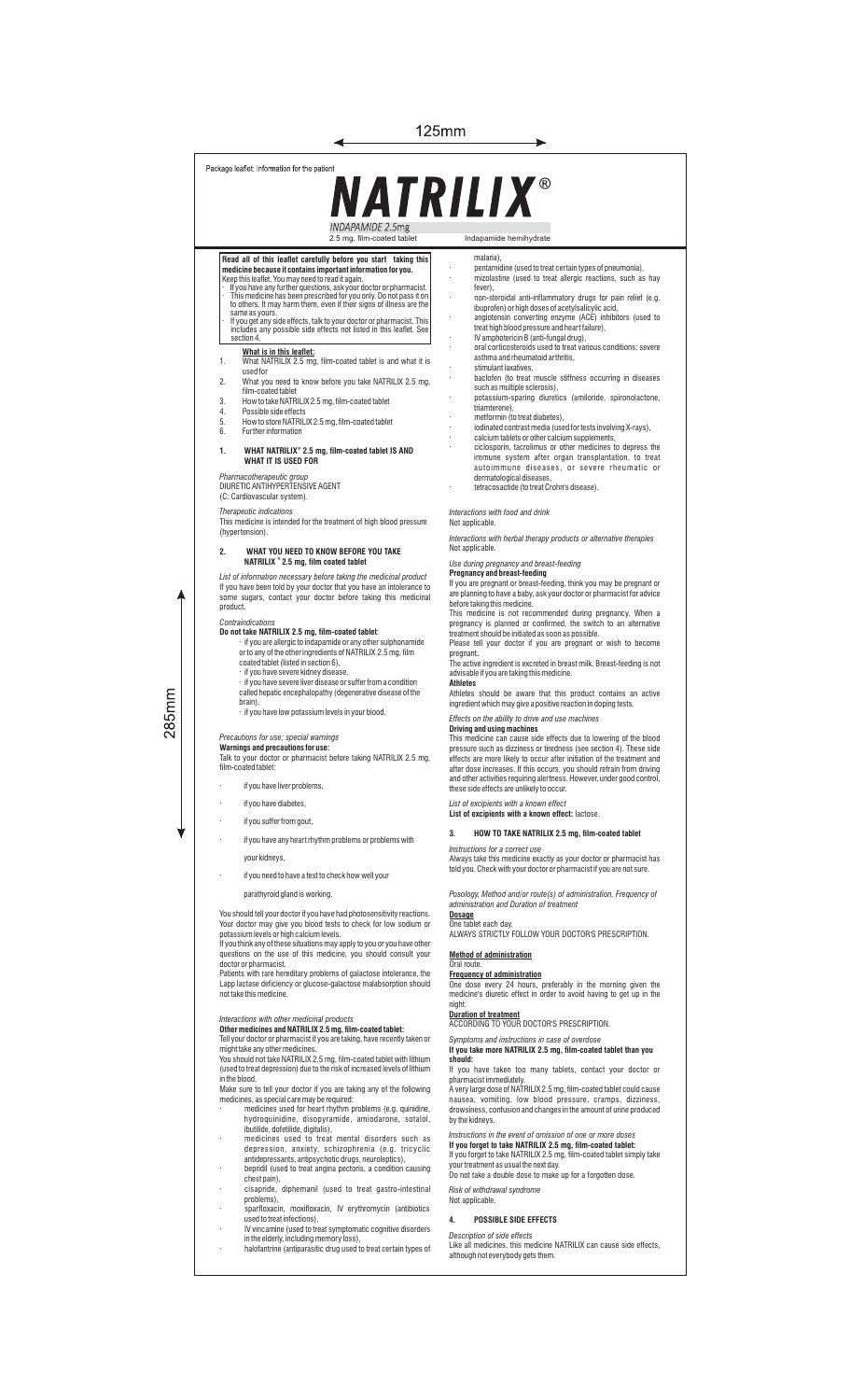| 125mm                                                                                                                                                                                                                                                                                                                                                                                                                                                                                                                                                                                                                                                                                                                                                                                                                                                                                                                                                                                                                                                                                                                                               |                                                                                                                                                                                                                                                                                                                                                                                                                                                                                                                                                                                                                                                                                                                                                                                                                                                                                                                                                                                                                                                                                                                             |
|-----------------------------------------------------------------------------------------------------------------------------------------------------------------------------------------------------------------------------------------------------------------------------------------------------------------------------------------------------------------------------------------------------------------------------------------------------------------------------------------------------------------------------------------------------------------------------------------------------------------------------------------------------------------------------------------------------------------------------------------------------------------------------------------------------------------------------------------------------------------------------------------------------------------------------------------------------------------------------------------------------------------------------------------------------------------------------------------------------------------------------------------------------|-----------------------------------------------------------------------------------------------------------------------------------------------------------------------------------------------------------------------------------------------------------------------------------------------------------------------------------------------------------------------------------------------------------------------------------------------------------------------------------------------------------------------------------------------------------------------------------------------------------------------------------------------------------------------------------------------------------------------------------------------------------------------------------------------------------------------------------------------------------------------------------------------------------------------------------------------------------------------------------------------------------------------------------------------------------------------------------------------------------------------------|
| Package leaflet: Information for the patient<br><b>NATRILIX®</b>                                                                                                                                                                                                                                                                                                                                                                                                                                                                                                                                                                                                                                                                                                                                                                                                                                                                                                                                                                                                                                                                                    |                                                                                                                                                                                                                                                                                                                                                                                                                                                                                                                                                                                                                                                                                                                                                                                                                                                                                                                                                                                                                                                                                                                             |
| INDAPAMIDE 2.5mg<br>2.5 mg, film-coated tablet                                                                                                                                                                                                                                                                                                                                                                                                                                                                                                                                                                                                                                                                                                                                                                                                                                                                                                                                                                                                                                                                                                      | Indapamide hemihydrate                                                                                                                                                                                                                                                                                                                                                                                                                                                                                                                                                                                                                                                                                                                                                                                                                                                                                                                                                                                                                                                                                                      |
| Read all of this leaflet carefully before you start taking this<br>medicine because it contains important information for you.<br>Keep this leaflet. You may need to read it again.<br>If you have any further questions, ask your doctor or pharmacist.<br>This medicine has been prescribed for you only. Do not pass it on<br>to others. It may harm them, even if their signs of illness are the<br>same as yours.<br>If you get any side effects, talk to your doctor or pharmacist. This<br>includes any possible side effects not listed in this leaflet. See<br>section 4.<br>What is in this leaflet:<br>What NATRILIX 2.5 mg, film-coated tablet is and what it is<br>1.<br>used for<br>2.<br>What you need to know before you take NATRILIX 2.5 mg,<br>film-coated tablet<br>How to take NATRILIX 2.5 mg, film-coated tablet<br>3.<br>4.<br>Possible side effects<br>5.<br>How to store NATRILIX 2.5 mg, film-coated tablet<br>Further information<br>6.<br>WHAT NATRILIX® 2.5 mg, film-coated tablet IS AND<br>1.<br>WHAT IT IS USED FOR<br>Pharmacotherapeutic group<br>DIURETIC ANTIHYPERTENSIVE AGENT<br>(C: Cardiovascular system). | malaria),<br>pentamidine (used to treat certain types of pneumonia),<br>mizolastine (used to treat allergic reactions, such as hay<br>fever),<br>non-steroidal anti-inflammatory drugs for pain relief (e.g.<br>ibuprofen) or high doses of acetylsalicylic acid,<br>angiotensin converting enzyme (ACE) inhibitors (used to<br>treat high blood pressure and heart failure),<br>IV amphotericin B (anti-fungal drug),<br>oral corticosteroids used to treat various conditions: severe<br>asthma and rheumatoid arthritis,<br>stimulant laxatives,<br>baclofen (to treat muscle stiffness occurring in diseases<br>such as multiple sclerosis),<br>potassium-sparing diuretics (amiloride, spironolactone,<br>triamterene),<br>metformin (to treat diabetes),<br>iodinated contrast media (used for tests involving X-rays).<br>calcium tablets or other calcium supplements,<br>ciclosporin, tacrolimus or other medicines to depress the<br>immune system after organ transplantation, to treat<br>autoimmune diseases, or severe rheumatic or<br>dermatological diseases,<br>tetracosactide (to treat Crohn's disease). |
| Therapeutic indications<br>This medicine is intended for the treatment of high blood pressure<br>(hypertension).                                                                                                                                                                                                                                                                                                                                                                                                                                                                                                                                                                                                                                                                                                                                                                                                                                                                                                                                                                                                                                    | Interactions with food and drink<br>Not applicable.                                                                                                                                                                                                                                                                                                                                                                                                                                                                                                                                                                                                                                                                                                                                                                                                                                                                                                                                                                                                                                                                         |
| 2.<br>WHAT YOU NEED TO KNOW BEFORE YOU TAKE<br>NATRILIX ° 2.5 mg, film coated tablet<br>List of information necessary before taking the medicinal product<br>If you have been told by your doctor that you have an intolerance to<br>some sugars, contact your doctor before taking this medicinal<br>product.<br>Contraindications<br>Do not take NATRILIX 2.5 mg, film-coated tablet:<br>if you are allergic to indapamide or any other sulphonamide<br>or to any of the other ingredients of NATRILIX 2.5 mg, film<br>coated tablet (listed in section 6),<br>· if you have severe kidney disease,<br>if you have severe liver disease or suffer from a condition<br>called hepatic encephalopathy (degenerative disease of the<br>brain),<br>if you have low potassium levels in your blood.                                                                                                                                                                                                                                                                                                                                                    | Interactions with herbal therapy products or alternative therapies<br>Not applicable.<br>Use during pregnancy and breast-feeding<br><b>Pregnancy and breast-feeding</b><br>If you are pregnant or breast-feeding, think you may be pregnant or<br>are planning to have a baby, ask your doctor or pharmacist for advice<br>before taking this medicine.<br>This medicine is not recommended during pregnancy. When a<br>pregnancy is planned or confirmed, the switch to an alternative<br>treatment should be initiated as soon as possible.<br>Please tell your doctor if you are pregnant or wish to become<br>pregnant.<br>The active ingredient is excreted in breast milk. Breast-feeding is not<br>advisable if you are taking this medicine.<br><b>Athletes</b><br>Athletes should be aware that this product contains an active<br>ingredient which may give a positive reaction in doping tests.                                                                                                                                                                                                                  |
| Precautions for use; special warnings<br>Warnings and precautions for use:<br>Talk to your doctor or pharmacist before taking NATRILIX 2.5 mg,<br>film-coated tablet:<br>if you have liver problems,<br>ï<br>if you have diabetes,<br>if you suffer from gout,                                                                                                                                                                                                                                                                                                                                                                                                                                                                                                                                                                                                                                                                                                                                                                                                                                                                                      | Effects on the ability to drive and use machines<br>Driving and using machines<br>This medicine can cause side effects due to lowering of the blood<br>pressure such as dizziness or tiredness (see section 4). These side<br>effects are more likely to occur after initiation of the treatment and<br>after dose increases. If this occurs, you should refrain from driving<br>and other activities requiring alertness. However, under good control,<br>these side effects are unlikely to occur.<br>List of excipients with a known effect<br>List of excipients with a known effect: lactose.                                                                                                                                                                                                                                                                                                                                                                                                                                                                                                                          |
| if you have any heart rhythm problems or problems with<br>your kidneys,<br>if you need to have a test to check how well your<br>parathyroid gland is working.                                                                                                                                                                                                                                                                                                                                                                                                                                                                                                                                                                                                                                                                                                                                                                                                                                                                                                                                                                                       | 3.<br>HOW TO TAKE NATRILIX 2.5 mg, film-coated tablet<br>Instructions for a correct use<br>Always take this medicine exactly as your doctor or pharmacist has<br>told you. Check with your doctor or pharmacist if you are not sure.<br>Posology, Method and/or route(s) of administration, Frequency of                                                                                                                                                                                                                                                                                                                                                                                                                                                                                                                                                                                                                                                                                                                                                                                                                    |

285mm

You should tell your doctor if you have had photosensitivity reactions.<br>Your doctor may give you blood tests to check for low sodium or<br>potassium levels or high calcium levels.<br>If you think any of these situations may appl

Patients with rare hereditary problems of galactose intolerance, the Lapp lactase deficiency or glucose-galactose malabsorption should not take this medicine.

Interactions with other medicinal products<br>**Other medicines and NATRILIX 2.5 mg, film-coated tablet:**<br>Tell your doctor or pharmacist if you are taking, have recently taken or<br>might take any other medicines.<br>You should not

in the blood.

- Make sure to tell your doctor if you are taking any of the following
- medicines, as special care may be required:<br>
medicines used for heart rhythm problems (e.g. quinidine,<br>
hydroquinidine, disopyramide, amiodarone, sotalol,<br>
ibutilide, dofetilide, digitalis),<br>
medicines used to treat mental
- antidepressants, antipsychotic drugs, neuroleptics), · bepridil (used to treat angina pectoris, a condition causing
- 
- chest pain), · cisapride, diphemanil (used to treat gastro-intestinal problems), · sparfloxacin, moxifloxacin, IV erythromycin (antibiotics used to treat infections),
- 
- · IV vincamine (used to treat symptomatic cognitive disorders in the elderly, including memory loss), · halofantrine (antiparasitic drug used to treat certain types of

*Posology, Method and/or route(s) of administration, Frequency of administration and Duration of treatment*

**<u>Dosage</u><br>**One tablet each day.<br>ALWAYS STRICTLY FOLLOW YOUR DOCTOR'S PRESCRIPTION.

### **Method of administration**

Oral route.<br><mark>Frequency of administration</mark><br>One dose every 24 hours, preferably in the morning given the<br>medicine's diuretic effect in order to avoid having to get up in the

### night.

**Duration of treatment** ACCORDING TO YOUR DOCTOR'S PRESCRIPTION.

*Symptoms and instructions in case of overdose*<br>**If you take more NATRILIX 2.5 mg, film-coated tablet than you<br>should:<br>If you have taken too many tablets, contact your doctor or** 

pharmacist immediately.<br>A very large dose of NATRILIX 2.5 mg, film-coated tablet could cause<br>nausea, vomiting, low blood pressure, cramps, dizziness,<br>drowsiness, confusion and changes in the amount of urine produced<br>by the

Instructions in the event of omission of one or more doses<br>I**f you forget to take NATRILIX 2.5 mg, film-coated tablet:**<br>If **you** forget to take NATRILIX 2.5 mg, film-coated tablet simply take<br>your treatment as usual the ne

## *Risk of withdrawal syndrome* Not applicable.

**4. POSSIBLE SIDE EFFECTS**

## *Description of side effects*

Like all medicines, this medicine NATRILIX can cause side effects, although not everybody gets them.